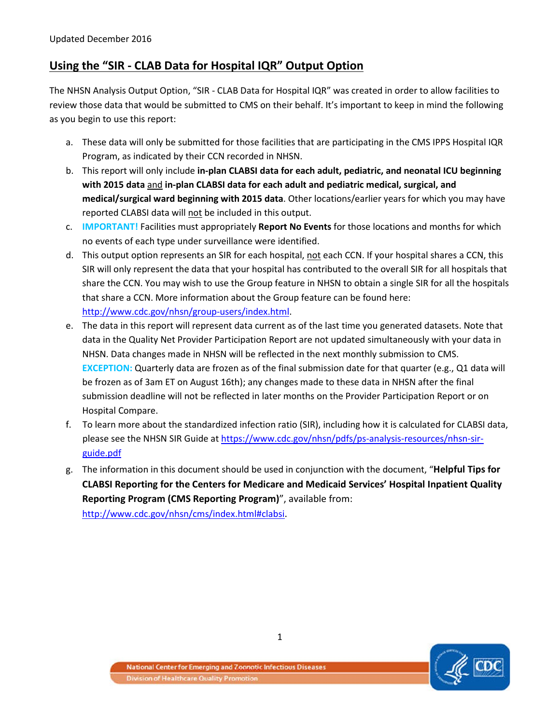# **Using the "SIR - CLAB Data for Hospital IQR" Output Option**

The NHSN Analysis Output Option, "SIR - CLAB Data for Hospital IQR" was created in order to allow facilities to review those data that would be submitted to CMS on their behalf. It's important to keep in mind the following as you begin to use this report:

- a. These data will only be submitted for those facilities that are participating in the CMS IPPS Hospital IQR Program, as indicated by their CCN recorded in NHSN.
- b. This report will only include **in-plan CLABSI data for each adult, pediatric, and neonatal ICU beginning with 2015 data** and **in-plan CLABSI data for each adult and pediatric medical, surgical, and medical/surgical ward beginning with 2015 data**. Other locations/earlier years for which you may have reported CLABSI data will not be included in this output.
- c. **IMPORTANT!** Facilities must appropriately **Report No Events** for those locations and months for which no events of each type under surveillance were identified.
- d. This output option represents an SIR for each hospital, not each CCN. If your hospital shares a CCN, this SIR will only represent the data that your hospital has contributed to the overall SIR for all hospitals that share the CCN. You may wish to use the Group feature in NHSN to obtain a single SIR for all the hospitals that share a CCN. More information about the Group feature can be found here: [http://www.cdc.gov/nhsn/group-users/index.html.](http://www.cdc.gov/nhsn/group-users/index.html)
- e. The data in this report will represent data current as of the last time you generated datasets. Note that data in the Quality Net Provider Participation Report are not updated simultaneously with your data in NHSN. Data changes made in NHSN will be reflected in the next monthly submission to CMS. **EXCEPTION:** Quarterly data are frozen as of the final submission date for that quarter (e.g., Q1 data will be frozen as of 3am ET on August 16th); any changes made to these data in NHSN after the final submission deadline will not be reflected in later months on the Provider Participation Report or on Hospital Compare.
- f. To learn more about the standardized infection ratio (SIR), including how it is calculated for CLABSI data, please see the NHSN SIR Guide at [https://www.cdc.gov/nhsn/pdfs/ps-analysis-resources/nhsn-sir](https://www.cdc.gov/nhsn/pdfs/ps-analysis-resources/nhsn-sir-guide.pdf)[guide.pdf](https://www.cdc.gov/nhsn/pdfs/ps-analysis-resources/nhsn-sir-guide.pdf)
- g. The information in this document should be used in conjunction with the document, "**Helpful Tips for CLABSI Reporting for the Centers for Medicare and Medicaid Services' Hospital Inpatient Quality Reporting Program (CMS Reporting Program)**", available from: [http://www.cdc.gov/nhsn/cms/index.html#clabsi.](http://www.cdc.gov/nhsn/PDFs/CMS/Helpful-Tips-for-CLABSI-Reporting.pdf)

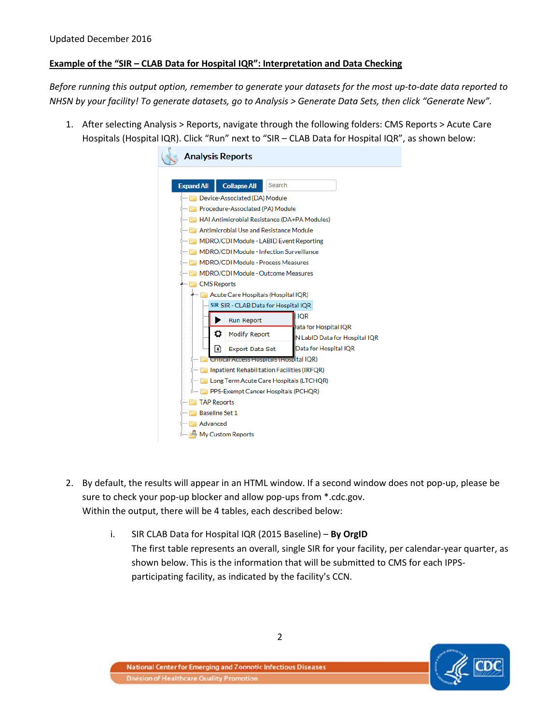# **Example of the "SIR – CLAB Data for Hospital IQR": Interpretation and Data Checking**

*Before running this output option, remember to generate your datasets for the most up-to-date data reported to NHSN by your facility! To generate datasets, go to Analysis > Generate Data Sets, then click "Generate New".*

1. After selecting Analysis > Reports, navigate through the following folders: CMS Reports > Acute Care Hospitals (Hospital IQR). Click "Run" next to "SIR – CLAB Data for Hospital IQR", as shown below:

|                                | <b>Analysis Reports</b>                          |                                                              |  |  |  |  |  |  |  |  |
|--------------------------------|--------------------------------------------------|--------------------------------------------------------------|--|--|--|--|--|--|--|--|
|                                |                                                  |                                                              |  |  |  |  |  |  |  |  |
| <b>Expand All</b>              | <b>Collapse All</b>                              | Search                                                       |  |  |  |  |  |  |  |  |
|                                | <b>Example 2</b> Device-Associated (DA) Module   |                                                              |  |  |  |  |  |  |  |  |
|                                | <b>Example: Procedure-Associated (PA) Module</b> |                                                              |  |  |  |  |  |  |  |  |
|                                |                                                  | <b>Example: HAI Antimicrobial Resistance (DA+PA Modules)</b> |  |  |  |  |  |  |  |  |
|                                |                                                  | <b>Example: Antimicrobial Use and Resistance Module</b>      |  |  |  |  |  |  |  |  |
|                                |                                                  | <b>Example:</b> MDRO/CDI Module - LABID Event Reporting      |  |  |  |  |  |  |  |  |
|                                |                                                  | <b>E MDRO/CDI Module - Infection Surveillance</b>            |  |  |  |  |  |  |  |  |
|                                | <b>E. MDRO/CDI Module - Process Measures</b>     |                                                              |  |  |  |  |  |  |  |  |
|                                |                                                  | <b>E MDRO/CDI Module - Outcome Measures</b>                  |  |  |  |  |  |  |  |  |
| <i><b>A— E CMS Reports</b></i> |                                                  |                                                              |  |  |  |  |  |  |  |  |
|                                | A Acute Care Hospitals (Hospital IQR)            |                                                              |  |  |  |  |  |  |  |  |
|                                |                                                  | SIR SIR - CLAB Data for Hospital IQR<br><b>IQR</b>           |  |  |  |  |  |  |  |  |
|                                | <b>Run Report</b>                                | Data for Hospital IQR                                        |  |  |  |  |  |  |  |  |
|                                | Ö<br><b>Modify Report</b>                        | N LabID Data for Hospital IQR                                |  |  |  |  |  |  |  |  |
|                                | l٠١<br><b>Export Data Set</b>                    | Data for Hospital IQR                                        |  |  |  |  |  |  |  |  |
|                                |                                                  | <b>Ed Critical Access Hospitals (Hospital IQR)</b>           |  |  |  |  |  |  |  |  |
|                                |                                                  | <b>Example: Inpatient Rehabilitation Facilities (IRFOR)</b>  |  |  |  |  |  |  |  |  |
|                                |                                                  | <b>Example:</b> Long Term Acute Care Hospitals (LTCHOR)      |  |  |  |  |  |  |  |  |
|                                | <b>Example Cancer Hospitals (PCHOR)</b>          |                                                              |  |  |  |  |  |  |  |  |
|                                | <b>Example TAP Reports</b>                       |                                                              |  |  |  |  |  |  |  |  |
|                                | <b>Expanding Set 1</b>                           |                                                              |  |  |  |  |  |  |  |  |
| <b>E</b> Advanced              |                                                  |                                                              |  |  |  |  |  |  |  |  |
|                                | ै— I My Custom Reports                           |                                                              |  |  |  |  |  |  |  |  |

- 2. By default, the results will appear in an HTML window. If a second window does not pop-up, please be sure to check your pop-up blocker and allow pop-ups from \*.cdc.gov. Within the output, there will be 4 tables, each described below:
	- i. SIR CLAB Data for Hospital IQR (2015 Baseline) **By OrgID** The first table represents an overall, single SIR for your facility, per calendar-year quarter, as shown below. This is the information that will be submitted to CMS for each IPPSparticipating facility, as indicated by the facility's CCN.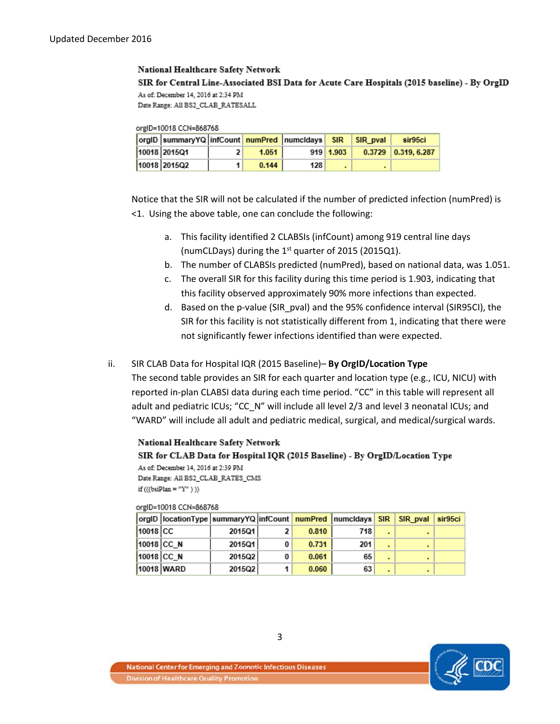### National Healthcare Safety Network

SIR for Central Line-Associated BSI Data for Acute Care Hospitals (2015 baseline) - By OrgID As of: December 14, 2016 at 2:34 PM Date Range: All BS2\_CLAB\_RATESALL

#### orgID=10018 CCN=868768

| orgID  summaryYQ   infCount   numPred   numcIdays   SIR   SIR pval |       |     |             | sir95ci               |
|--------------------------------------------------------------------|-------|-----|-------------|-----------------------|
| 10018 2015Q1                                                       | 1.051 |     | $919$ 1.903 | $0.3729$ 0.319, 6.287 |
| 10018 2015Q2                                                       | 0.144 | 128 |             |                       |

Notice that the SIR will not be calculated if the number of predicted infection (numPred) is <1. Using the above table, one can conclude the following:

- a. This facility identified 2 CLABSIs (infCount) among 919 central line days (numCLDays) during the  $1<sup>st</sup>$  quarter of 2015 (2015Q1).
- b. The number of CLABSIs predicted (numPred), based on national data, was 1.051.
- c. The overall SIR for this facility during this time period is 1.903, indicating that this facility observed approximately 90% more infections than expected.
- d. Based on the p-value (SIR\_pval) and the 95% confidence interval (SIR95CI), the SIR for this facility is not statistically different from 1, indicating that there were not significantly fewer infections identified than were expected.

### ii. SIR CLAB Data for Hospital IQR (2015 Baseline)– **By OrgID/Location Type**

The second table provides an SIR for each quarter and location type (e.g., ICU, NICU) with reported in-plan CLABSI data during each time period. "CC" in this table will represent all adult and pediatric ICUs; "CC\_N" will include all level 2/3 and level 3 neonatal ICUs; and "WARD" will include all adult and pediatric medical, surgical, and medical/surgical wards.

### National Healthcare Safety Network SIR for CLAB Data for Hospital IQR (2015 Baseline) - By OrgID/Location Type As of: December 14, 2016 at 2:39 PM Date Range: All BS2\_CLAB\_RATES\_CMS

if  $(((bsiPlan = "Y")))$ 

#### orgID=10018 CCN=868768

|          | orgID   locationType   summaryYQ   infCount   numPred   numcIdays   SIR |        |   |       |     |                | SIR pval | sir95ci |
|----------|-------------------------------------------------------------------------|--------|---|-------|-----|----------------|----------|---------|
| 10018 CC |                                                                         | 2015Q1 | 2 | 0.810 | 718 |                |          |         |
|          | 10018 CC N                                                              | 2015Q1 | 0 | 0.731 | 201 | ٠              |          |         |
|          | 10018 CC N                                                              | 2015Q2 | 0 | 0.061 | 65  | $\blacksquare$ |          |         |
|          | 10018 WARD                                                              | 2015Q2 |   | 0.060 | 63  | ٠              |          |         |

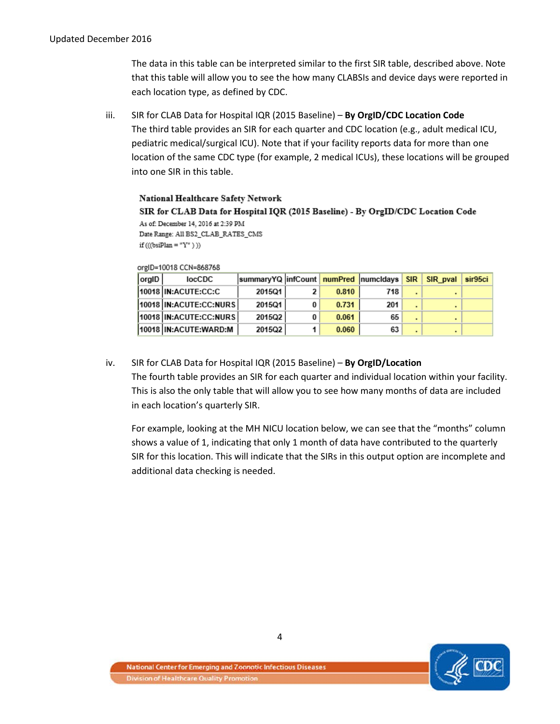The data in this table can be interpreted similar to the first SIR table, described above. Note that this table will allow you to see the how many CLABSIs and device days were reported in each location type, as defined by CDC.

iii. SIR for CLAB Data for Hospital IQR (2015 Baseline) – **By OrgID/CDC Location Code** The third table provides an SIR for each quarter and CDC location (e.g., adult medical ICU, pediatric medical/surgical ICU). Note that if your facility reports data for more than one location of the same CDC type (for example, 2 medical ICUs), these locations will be grouped into one SIR in this table.

National Healthcare Safety Network SIR for CLAB Data for Hospital IQR (2015 Baseline) - By OrgID/CDC Location Code As of: December 14, 2016 at 2:39 PM Date Range: All BS2\_CLAB\_RATES\_CMS if  $(((bsiPlan = "Y")))$ 

#### orgID=10018 CCN=868768

| orgID | locCDC                 | summaryYQ infCount numPred numcIdays SIR SIR pval |       |     |  | sir95ci |
|-------|------------------------|---------------------------------------------------|-------|-----|--|---------|
|       | 10018 IN:ACUTE:CC:C    | 2015Q1                                            | 0.810 | 718 |  |         |
|       | 10018 IN:ACUTE:CC:NURS | 2015Q1                                            | 0.731 | 201 |  |         |
|       | 10018 IN:ACUTE:CC:NURS | 2015Q2                                            | 0.061 | 65  |  |         |
|       | 10018 IN:ACUTE:WARD:M  | 2015Q2                                            | 0.060 | 63  |  |         |

# iv. SIR for CLAB Data for Hospital IQR (2015 Baseline) – **By OrgID/Location**

The fourth table provides an SIR for each quarter and individual location within your facility. This is also the only table that will allow you to see how many months of data are included in each location's quarterly SIR.

For example, looking at the MH NICU location below, we can see that the "months" column shows a value of 1, indicating that only 1 month of data have contributed to the quarterly SIR for this location. This will indicate that the SIRs in this output option are incomplete and additional data checking is needed.



4